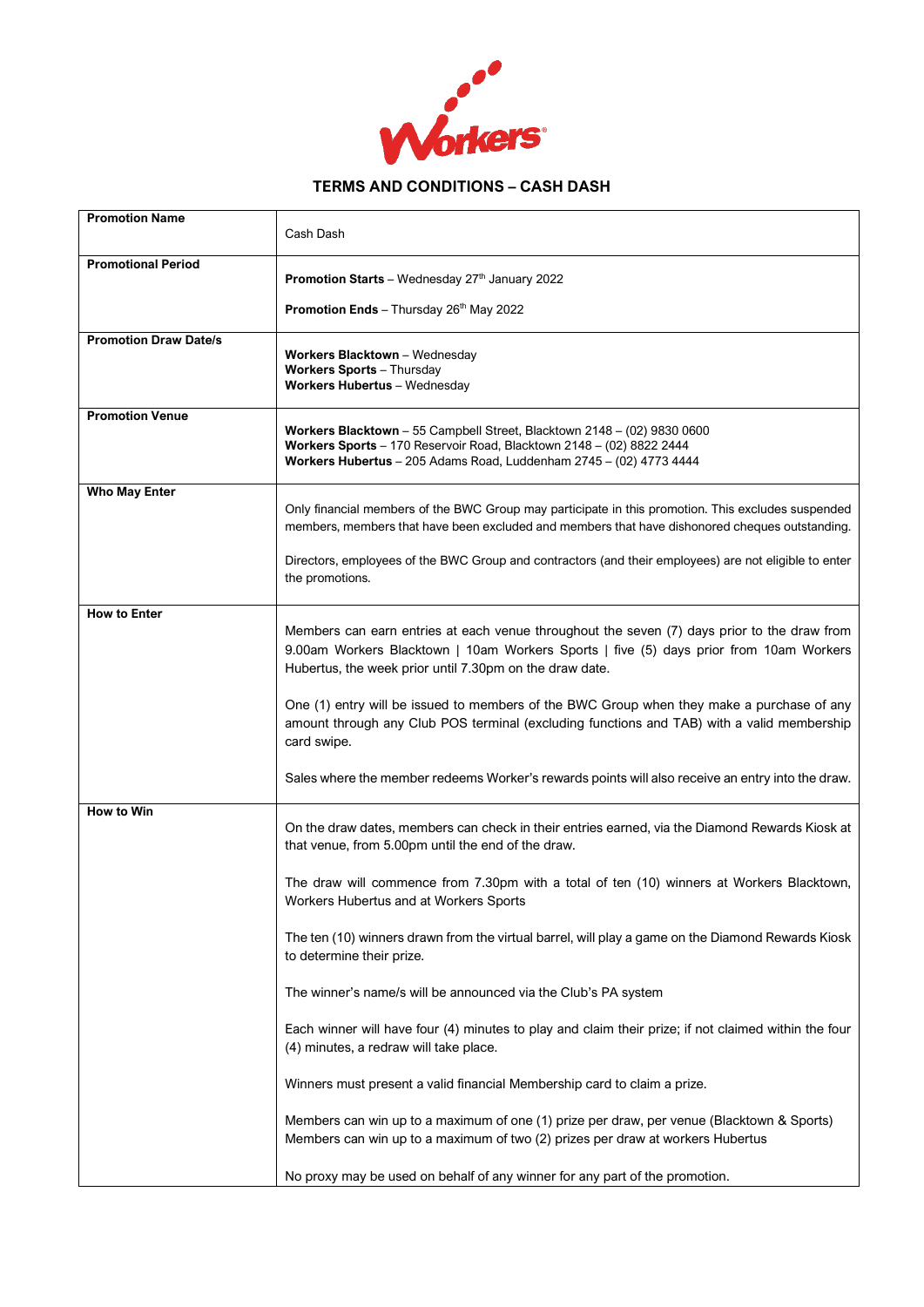

## **TERMS AND CONDITIONS – CASH DASH**

| <b>Promotion Name</b>        | Cash Dash                                                                                                                                                                                                                                        |
|------------------------------|--------------------------------------------------------------------------------------------------------------------------------------------------------------------------------------------------------------------------------------------------|
| <b>Promotional Period</b>    | Promotion Starts - Wednesday 27th January 2022                                                                                                                                                                                                   |
|                              | Promotion Ends - Thursday 26th May 2022                                                                                                                                                                                                          |
| <b>Promotion Draw Date/s</b> | Workers Blacktown - Wednesday<br><b>Workers Sports - Thursday</b><br>Workers Hubertus - Wednesday                                                                                                                                                |
| <b>Promotion Venue</b>       | Workers Blacktown - 55 Campbell Street, Blacktown 2148 - (02) 9830 0600<br>Workers Sports - 170 Reservoir Road, Blacktown 2148 - (02) 8822 2444<br>Workers Hubertus - 205 Adams Road, Luddenham 2745 - (02) 4773 4444                            |
| <b>Who May Enter</b>         | Only financial members of the BWC Group may participate in this promotion. This excludes suspended<br>members, members that have been excluded and members that have dishonored cheques outstanding.                                             |
|                              | Directors, employees of the BWC Group and contractors (and their employees) are not eligible to enter<br>the promotions.                                                                                                                         |
| <b>How to Enter</b>          | Members can earn entries at each venue throughout the seven (7) days prior to the draw from<br>9.00am Workers Blacktown   10am Workers Sports   five (5) days prior from 10am Workers<br>Hubertus, the week prior until 7.30pm on the draw date. |
|                              | One (1) entry will be issued to members of the BWC Group when they make a purchase of any<br>amount through any Club POS terminal (excluding functions and TAB) with a valid membership<br>card swipe.                                           |
|                              | Sales where the member redeems Worker's rewards points will also receive an entry into the draw.                                                                                                                                                 |
| How to Win                   | On the draw dates, members can check in their entries earned, via the Diamond Rewards Kiosk at<br>that venue, from 5.00pm until the end of the draw.                                                                                             |
|                              | The draw will commence from 7.30pm with a total of ten (10) winners at Workers Blacktown,<br>Workers Hubertus and at Workers Sports                                                                                                              |
|                              | The ten (10) winners drawn from the virtual barrel, will play a game on the Diamond Rewards Kiosk<br>to determine their prize.                                                                                                                   |
|                              | The winner's name/s will be announced via the Club's PA system                                                                                                                                                                                   |
|                              | Each winner will have four (4) minutes to play and claim their prize; if not claimed within the four<br>(4) minutes, a redraw will take place.                                                                                                   |
|                              | Winners must present a valid financial Membership card to claim a prize.                                                                                                                                                                         |
|                              | Members can win up to a maximum of one (1) prize per draw, per venue (Blacktown & Sports)<br>Members can win up to a maximum of two (2) prizes per draw at workers Hubertus                                                                      |
|                              | No proxy may be used on behalf of any winner for any part of the promotion.                                                                                                                                                                      |